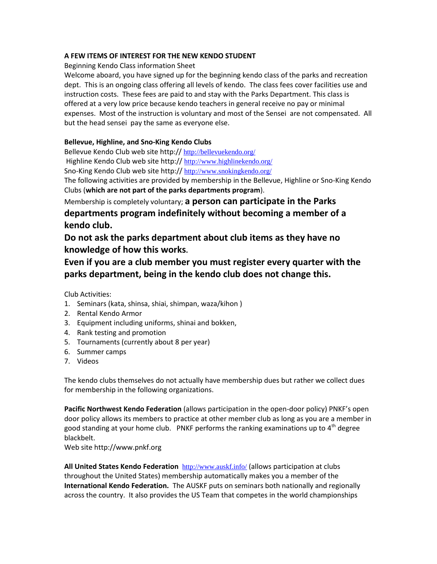## **A FEW ITEMS OF INTEREST FOR THE NEW KENDO STUDENT**

Beginning Kendo Class information Sheet

Welcome aboard, you have signed up for the beginning kendo class of the parks and recreation dept. This is an ongoing class offering all levels of kendo. The class fees cover facilities use and instruction costs. These fees are paid to and stay with the Parks Department. This class is offered at a very low price because kendo teachers in general receive no pay or minimal expenses. Most of the instruction is voluntary and most of the Sensei are not compensated. All but the head sensei pay the same as everyone else.

## **Bellevue, Highline, and Sno-King Kendo Clubs**

Bellevue Kendo Club web site http:// <http://bellevuekendo.org/> Highline Kendo Club web site http:// <http://www.highlinekendo.org/>

Sno-King Kendo Club web site http:// <http://www.snokingkendo.org/>

The following activities are provided by membership in the Bellevue, Highline or Sno-King Kendo Clubs (**which are not part of the parks departments program**).

Membership is completely voluntary; **a person can participate in the Parks** 

## **departments program indefinitely without becoming a member of a kendo club.**

**Do not ask the parks department about club items as they have no knowledge of how this works.**

**Even if you are a club member you must register every quarter with the parks department, being in the kendo club does not change this.** 

Club Activities:

- 1. Seminars (kata, shinsa, shiai, shimpan, waza/kihon )
- 2. Rental Kendo Armor
- 3. Equipment including uniforms, shinai and bokken,
- 4. Rank testing and promotion
- 5. Tournaments (currently about 8 per year)
- 6. Summer camps
- 7. Videos

The kendo clubs themselves do not actually have membership dues but rather we collect dues for membership in the following organizations.

**Pacific Northwest Kendo Federation** (allows participation in the open-door policy) PNKF's open door policy allows its members to practice at other member club as long as you are a member in good standing at your home club. PNKF performs the ranking examinations up to  $4<sup>th</sup>$  degree blackbelt.

Web site http://www.pnkf.org

**All United States Kendo Federation** <http://www.auskf.info/> (allows participation at clubs throughout the United States) membership automatically makes you a member of the **International Kendo Federation.** The AUSKF puts on seminars both nationally and regionally across the country. It also provides the US Team that competes in the world championships